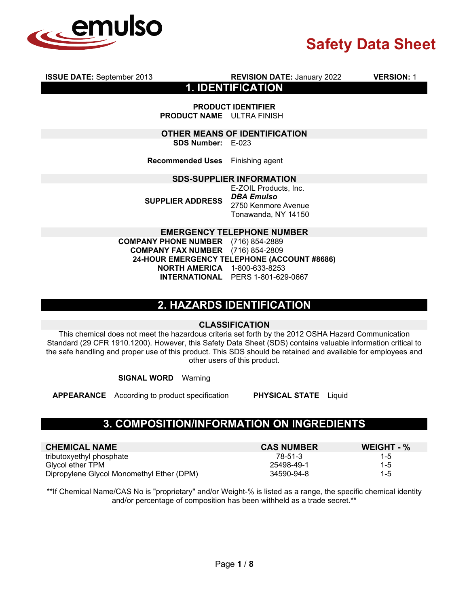

**ISSUE DATE:** September 2013 **REVISION DATE:** January 2022 **VERSION:** 1

**1. IDENTIFICATION**

**PRODUCT IDENTIFIER PRODUCT NAME** ULTRA FINISH

**OTHER MEANS OF IDENTIFICATION SDS Number:** E-023

**Recommended Uses** Finishing agent

#### **SDS-SUPPLIER INFORMATION**

**SUPPLIER ADDRESS**

E-ZOIL Products, Inc. *DBA Emulso*  2750 Kenmore Avenue Tonawanda, NY 14150

### **EMERGENCY TELEPHONE NUMBER**

**COMPANY PHONE NUMBER** (716) 854-2889 **COMPANY FAX NUMBER 24-HOUR EMERGENCY TELEPHONE (ACCOUNT #8686) NORTH AMERICA** 1-800-633-8253 **INTERNATIONAL** PERS 1-801-629-0667

## **2. HAZARDS IDENTIFICATION**

## **CLASSIFICATION**

This chemical does not meet the hazardous criteria set forth by the 2012 OSHA Hazard Communication Standard (29 CFR 1910.1200). However, this Safety Data Sheet (SDS) contains valuable information critical to the safe handling and proper use of this product. This SDS should be retained and available for employees and other users of this product.

**SIGNAL WORD** Warning

**APPEARANCE** According to product specification **PHYSICAL STATE** Liquid

## **3. COMPOSITION/INFORMATION ON INGREDIENTS**

| <b>CHEMICAL NAME</b>                      | <b>CAS NUMBER</b> | WEIGHT - % |
|-------------------------------------------|-------------------|------------|
| tributoxyethyl phosphate                  | 78-51-3           | $1 - 5$    |
| Glvcol ether TPM                          | 25498-49-1        | $1 - 5$    |
| Dipropylene Glycol Monomethyl Ether (DPM) | 34590-94-8        | $1 - 5$    |

\*\*If Chemical Name/CAS No is "proprietary" and/or Weight-% is listed as a range, the specific chemical identity and/or percentage of composition has been withheld as a trade secret.\*\*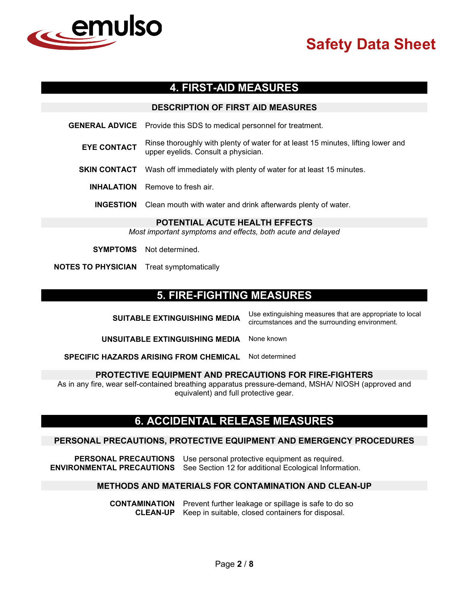

# **4. FIRST-AID MEASURES**

## **DESCRIPTION OF FIRST AID MEASURES**

**GENERAL ADVICE** Provide this SDS to medical personnel for treatment.

- **EYE CONTACT** Rinse thoroughly with plenty of water for at least 15 minutes, lifting lower and upper eyelids. Consult a physician.
- **SKIN CONTACT** Wash off immediately with plenty of water for at least 15 minutes.
	- **INHALATION** Remove to fresh air.

**INGESTION** Clean mouth with water and drink afterwards plenty of water.

#### **POTENTIAL ACUTE HEALTH EFFECTS**

*Most important symptoms and effects, both acute and delayed*

**SYMPTOMS** Not determined.

**NOTES TO PHYSICIAN** Treat symptomatically

## **5. FIRE-FIGHTING MEASURES**

**SUITABLE EXTINGUISHING MEDIA** Use extinguishing measures that are appropriate to local circumstances and the surrounding environment.

**UNSUITABLE EXTINGUISHING MEDIA** None known

**SPECIFIC HAZARDS ARISING FROM CHEMICAL** Not determined

### **PROTECTIVE EQUIPMENT AND PRECAUTIONS FOR FIRE-FIGHTERS**

As in any fire, wear self-contained breathing apparatus pressure-demand, MSHA/ NIOSH (approved and equivalent) and full protective gear.

## **6. ACCIDENTAL RELEASE MEASURES**

### **PERSONAL PRECAUTIONS, PROTECTIVE EQUIPMENT AND EMERGENCY PROCEDURES**

**PERSONAL PRECAUTIONS** Use personal protective equipment as required. **ENVIRONMENTAL PRECAUTIONS** See Section 12 for additional Ecological Information.

## **METHODS AND MATERIALS FOR CONTAMINATION AND CLEAN-UP**

**CONTAMINATION** Prevent further leakage or spillage is safe to do so **CLEAN-UP** Keep in suitable, closed containers for disposal.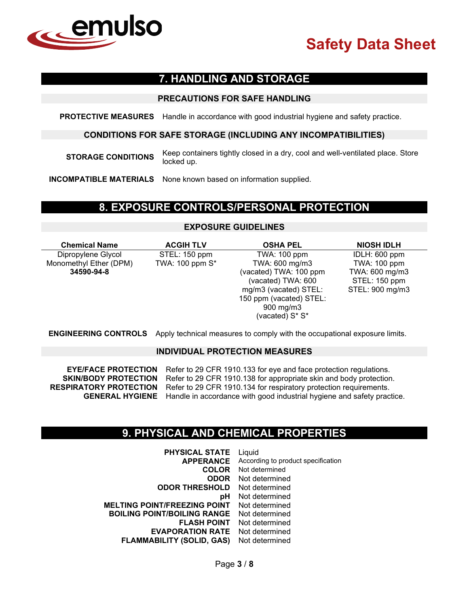

# **7. HANDLING AND STORAGE**

## **PRECAUTIONS FOR SAFE HANDLING**

**PROTECTIVE MEASURES** Handle in accordance with good industrial hygiene and safety practice.

## **CONDITIONS FOR SAFE STORAGE (INCLUDING ANY INCOMPATIBILITIES)**

**STORAGE CONDITIONS** Keep containers tightly closed in a dry, cool and well-ventilated place. Store locked up.

**INCOMPATIBLE MATERIALS** None known based on information supplied.

## **8. EXPOSURE CONTROLS/PERSONAL PROTECTION**

# **EXPOSURE GUIDELINES**

| <b>Chemical Name</b>   | <b>ACGIH TLV</b> | <b>OSHA PEL</b>         | <b>NIOSH IDLH</b> |
|------------------------|------------------|-------------------------|-------------------|
| Dipropylene Glycol     | STEL: 150 ppm    | TWA: 100 ppm            | IDLH: 600 ppm     |
| Monomethyl Ether (DPM) | TWA: 100 ppm S*  | TWA: 600 mg/m3          | TWA: 100 ppm      |
| 34590-94-8             |                  | (vacated) TWA: 100 ppm  | TWA: 600 mg/m3    |
|                        |                  | (vacated) TWA: 600      | STEL: 150 ppm     |
|                        |                  | mg/m3 (vacated) STEL:   | STEL: 900 mg/m3   |
|                        |                  | 150 ppm (vacated) STEL: |                   |
|                        |                  | 900 mg/m3               |                   |
|                        |                  | (vacated) S* S*         |                   |

**ENGINEERING CONTROLS** Apply technical measures to comply with the occupational exposure limits.

### **INDIVIDUAL PROTECTION MEASURES**

**EYE/FACE PROTECTION** Refer to 29 CFR 1910.133 for eye and face protection regulations.<br>**SKIN/BODY PROTECTION** Refer to 29 CFR 1910.138 for appropriate skin and body protection Refer to 29 CFR 1910.138 for appropriate skin and body protection. **RESPIRATORY PROTECTION** Refer to 29 CFR 1910.134 for respiratory protection requirements. **GENERAL HYGIENE** Handle in accordance with good industrial hygiene and safety practice.

## **9. PHYSICAL AND CHEMICAL PROPERTIES**

| Liquid                             |
|------------------------------------|
| According to product specification |
| Not determined                     |
| Not determined                     |
| Not determined                     |
| Not determined                     |
| Not determined                     |
| Not determined                     |
| Not determined                     |
| Not determined                     |
| Not determined                     |
|                                    |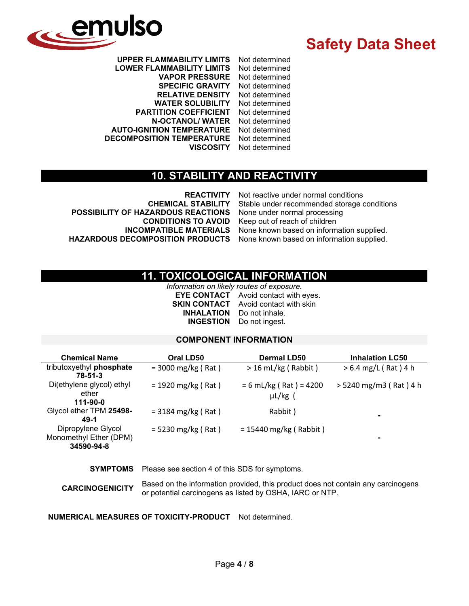

**UPPER FLAMMABILITY LIMITS** Not determined **LOWER FLAMMABILITY LIMITS** Not determined **VAPOR PRESSURE** Not determined **SPECIFIC GRAVITY RELATIVE DENSITY** Not determined **WATER SOLUBILITY** Not determined **PARTITION COEFFICIENT N-OCTANOL/ WATER** Not determined **AUTO-IGNITION TEMPERATURE** Not determined **DECOMPOSITION TEMPERATURE VISCOSITY** Not determined

# **10. STABILITY AND REACTIVITY**

**POSSIBILITY OF HAZARDOUS REACTIONS** None under normal processing **INCOMPATIBLE MATERIALS** None known based on information supplied.<br>**HAZARDOUS DECOMPOSITION PRODUCTS** None known based on information supplied.

**REACTIVITY** Not reactive under normal conditions **CHEMICAL STABILITY** Stable under recommended storage conditions **CONDITIONS TO AVOID** Keep out of reach of children None known based on information supplied.

# **11. TOXICOLOGICAL INFORMATION**

*Information on likely routes of exposure.* **EYE CONTACT** Avoid contact with eyes. **SKIN CONTACT** Avoid contact with skin **INHALATION** Do not inhale. **INGESTION** Do not ingest.

## **COMPONENT INFORMATION**

| <b>Chemical Name</b>                                       | Oral LD50                    | <b>Dermal LD50</b>                       | <b>Inhalation LC50</b> |
|------------------------------------------------------------|------------------------------|------------------------------------------|------------------------|
| tributoxyethyl phosphate<br>78-51-3                        | $=$ 3000 mg/kg (Rat)         | $>$ 16 mL/kg (Rabbit)                    | $> 6.4$ mg/L (Rat) 4 h |
| Di(ethylene glycol) ethyl<br>ether<br>111-90-0             | $= 1920$ mg/kg (Rat)         | $= 6$ mL/kg (Rat) = 4200<br>$\mu L/kg$ ( | > 5240 mg/m3 (Rat) 4 h |
| Glycol ether TPM 25498-<br>49-1                            | $= 3184 \text{ mg/kg}$ (Rat) | Rabbit)                                  | $\blacksquare$         |
| Dipropylene Glycol<br>Monomethyl Ether (DPM)<br>34590-94-8 | $= 5230$ mg/kg (Rat)         | $= 15440$ mg/kg (Rabbit)                 | ٠                      |

**SYMPTOMS** Please see section 4 of this SDS for symptoms.

**CARCINOGENICITY** Based on the information provided, this product does not contain any carcinogens or potential carcinogens as listed by OSHA, IARC or NTP.

**NUMERICAL MEASURES OF TOXICITY-PRODUCT** Not determined.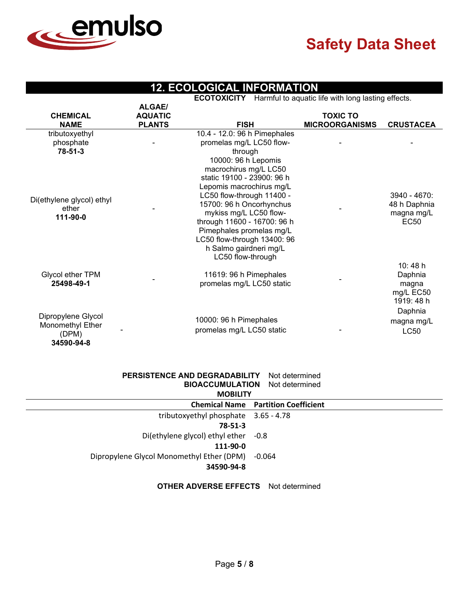

# **12. ECOLOGICAL INFORMATION**

**ECOTOXICITY** Harmful to aquatic life with long lasting effects.

|                                                               | <b>ALGAE/</b>  |                                                                                                                                                                                                                                                                                    | Avenue i rammar to aquationno municipia aoung onooto. |                                                            |
|---------------------------------------------------------------|----------------|------------------------------------------------------------------------------------------------------------------------------------------------------------------------------------------------------------------------------------------------------------------------------------|-------------------------------------------------------|------------------------------------------------------------|
| <b>CHEMICAL</b>                                               | <b>AQUATIC</b> |                                                                                                                                                                                                                                                                                    | <b>TOXIC TO</b>                                       |                                                            |
| <b>NAME</b>                                                   | <b>PLANTS</b>  | <b>FISH</b>                                                                                                                                                                                                                                                                        | <b>MICROORGANISMS</b>                                 | <b>CRUSTACEA</b>                                           |
| tributoxyethyl<br>phosphate<br>$78 - 51 - 3$                  |                | 10.4 - 12.0: 96 h Pimephales<br>promelas mg/L LC50 flow-<br>through<br>10000: 96 h Lepomis<br>macrochirus mg/L LC50                                                                                                                                                                |                                                       |                                                            |
| Di(ethylene glycol) ethyl<br>ether<br>111-90-0                |                | static 19100 - 23900: 96 h<br>Lepomis macrochirus mg/L<br>LC50 flow-through 11400 -<br>15700: 96 h Oncorhynchus<br>mykiss mg/L LC50 flow-<br>through 11600 - 16700: 96 h<br>Pimephales promelas mg/L<br>LC50 flow-through 13400: 96<br>h Salmo gairdneri mg/L<br>LC50 flow-through |                                                       | $3940 - 4670$<br>48 h Daphnia<br>magna mg/L<br><b>EC50</b> |
| Glycol ether TPM<br>25498-49-1                                |                | 11619: 96 h Pimephales<br>promelas mg/L LC50 static                                                                                                                                                                                                                                |                                                       | 10:48 h<br>Daphnia<br>magna<br>mg/L EC50<br>1919: 48 h     |
| Dipropylene Glycol<br>Monomethyl Ether<br>(DPM)<br>34590-94-8 |                | 10000: 96 h Pimephales<br>promelas mg/L LC50 static                                                                                                                                                                                                                                |                                                       | Daphnia<br>magna mg/L<br><b>LC50</b>                       |

#### **PERSISTENCE AND DEGRADABILITY** Not determined **BIOACCUMULATION** Not determined

| <b>MOBILITY</b>                                  |                                            |  |  |  |
|--------------------------------------------------|--------------------------------------------|--|--|--|
|                                                  | <b>Chemical Name Partition Coefficient</b> |  |  |  |
| tributoxyethyl phosphate 3.65 - 4.78             |                                            |  |  |  |
| $78 - 51 - 3$                                    |                                            |  |  |  |
| Di(ethylene glycol) ethyl ether -0.8             |                                            |  |  |  |
| 111-90-0                                         |                                            |  |  |  |
| Dipropylene Glycol Monomethyl Ether (DPM) -0.064 |                                            |  |  |  |
| 34590-94-8                                       |                                            |  |  |  |
|                                                  |                                            |  |  |  |

### **OTHER ADVERSE EFFECTS** Not determined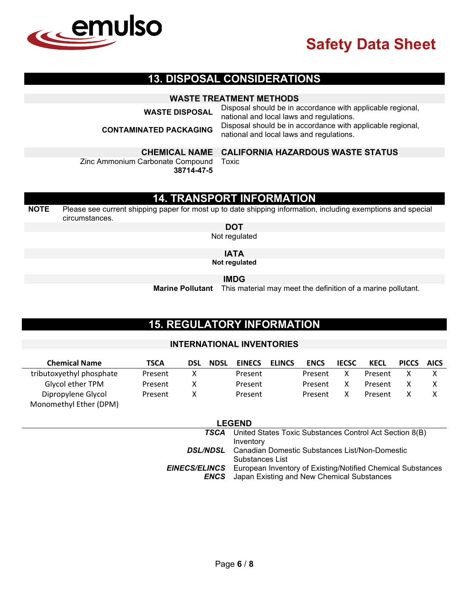

## **13. DISPOSAL CONSIDERATIONS**

## **WASTE TREATMENT METHODS**

**WASTE DISPOSAL** Disposal should be in accordance with applicable regional, national and local laws and regulations. **CONTAMINATED PACKAGING** Disposal should be in accordance with applicable regional, national and local laws and regulations.

Zinc Ammonium Carbonate Compound

**CHEMICAL NAME CALIFORNIA HAZARDOUS WASTE STATUS**

**38714-47-5** Toxic

# **14. TRANSPORT INFORMATION**

**NOTE** Please see current shipping paper for most up to date shipping information, including exemptions and special circumstances.

**DOT**

Not regulated

**IATA**

**Not regulated**

**IMDG**

**Marine Pollutant** This material may meet the definition of a marine pollutant.

# **15. REGULATORY INFORMATION**

### **INTERNATIONAL INVENTORIES**

| <b>Chemical Name</b>     | <b>TSCA</b> | <b>DSL</b> | <b>NDSL</b> | <b>EINECS</b> | <b>ELINCS</b> | <b>ENCS</b> | <b>IECSC</b> | KECL    | <b>PICCS</b> | <b>AICS</b> |
|--------------------------|-------------|------------|-------------|---------------|---------------|-------------|--------------|---------|--------------|-------------|
| tributoxyethyl phosphate | Present     |            |             | Present       |               | Present     |              | Present |              |             |
| Glycol ether TPM         | Present     |            |             | Present       |               | Present     |              | Present |              |             |
| Dipropylene Glycol       | Present     |            |             | Present       |               | Present     |              | Present |              |             |
| Monomethyl Ether (DPM)   |             |            |             |               |               |             |              |         |              |             |

| <b>LEGEND</b> |                                                                                                     |  |  |  |
|---------------|-----------------------------------------------------------------------------------------------------|--|--|--|
|               | <b>TSCA</b> United States Toxic Substances Control Act Section 8(B)<br>Inventory                    |  |  |  |
|               | <b>DSL/NDSL</b> Canadian Domestic Substances List/Non-Domestic                                      |  |  |  |
|               | Substances List<br><b>EINECS/ELINCS</b> European Inventory of Existing/Notified Chemical Substances |  |  |  |
|               | <b>ENCS</b> Japan Existing and New Chemical Substances                                              |  |  |  |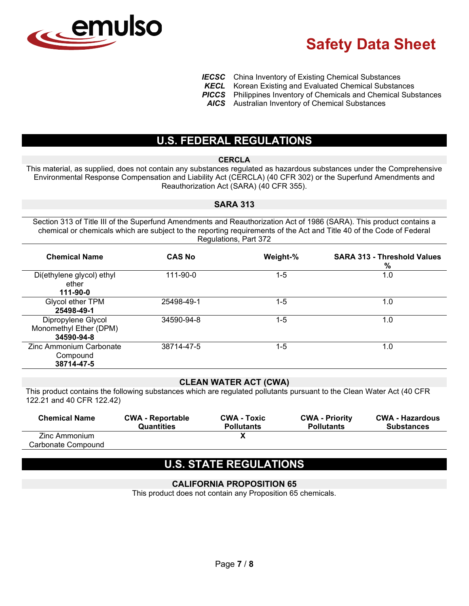

- **IECSC** China Inventory of Existing Chemical Substances<br>**KECL** Korean Existing and Evaluated Chemical Substan
	- Korean Existing and Evaluated Chemical Substances
- **PICCS** Philippines Inventory of Chemicals and Chemical Substances
- *AICS* Australian Inventory of Chemical Substances

# **U.S. FEDERAL REGULATIONS**

#### **CERCLA**

This material, as supplied, does not contain any substances regulated as hazardous substances under the Comprehensive Environmental Response Compensation and Liability Act (CERCLA) (40 CFR 302) or the Superfund Amendments and Reauthorization Act (SARA) (40 CFR 355).

#### **SARA 313**

Section 313 of Title III of the Superfund Amendments and Reauthorization Act of 1986 (SARA). This product contains a chemical or chemicals which are subject to the reporting requirements of the Act and Title 40 of the Code of Federal Regulations, Part 372

| <b>Chemical Name</b>                                       | <b>CAS No</b> | Weight-% | <b>SARA 313 - Threshold Values</b><br>% |
|------------------------------------------------------------|---------------|----------|-----------------------------------------|
| Di(ethylene glycol) ethyl<br>ether<br>111-90-0             | 111-90-0      | $1 - 5$  | 1.0                                     |
| Glycol ether TPM<br>25498-49-1                             | 25498-49-1    | 1-5      | 1.0                                     |
| Dipropylene Glycol<br>Monomethyl Ether (DPM)<br>34590-94-8 | 34590-94-8    | $1 - 5$  | 1.0                                     |
| Zinc Ammonium Carbonate<br>Compound<br>38714-47-5          | 38714-47-5    | $1 - 5$  | 1.0                                     |

### **CLEAN WATER ACT (CWA)**

This product contains the following substances which are regulated pollutants pursuant to the Clean Water Act (40 CFR 122.21 and 40 CFR 122.42)

| <b>Chemical Name</b> | <b>CWA - Reportable</b><br><b>Quantities</b> | <b>CWA - Toxic</b><br><b>Pollutants</b> | <b>CWA - Priority</b><br><b>Pollutants</b> | <b>CWA - Hazardous</b><br><b>Substances</b> |
|----------------------|----------------------------------------------|-----------------------------------------|--------------------------------------------|---------------------------------------------|
| Zinc Ammonium        |                                              |                                         |                                            |                                             |
| Carbonate Compound   |                                              |                                         |                                            |                                             |

# **U.S. STATE REGULATIONS**

## **CALIFORNIA PROPOSITION 65**

This product does not contain any Proposition 65 chemicals.